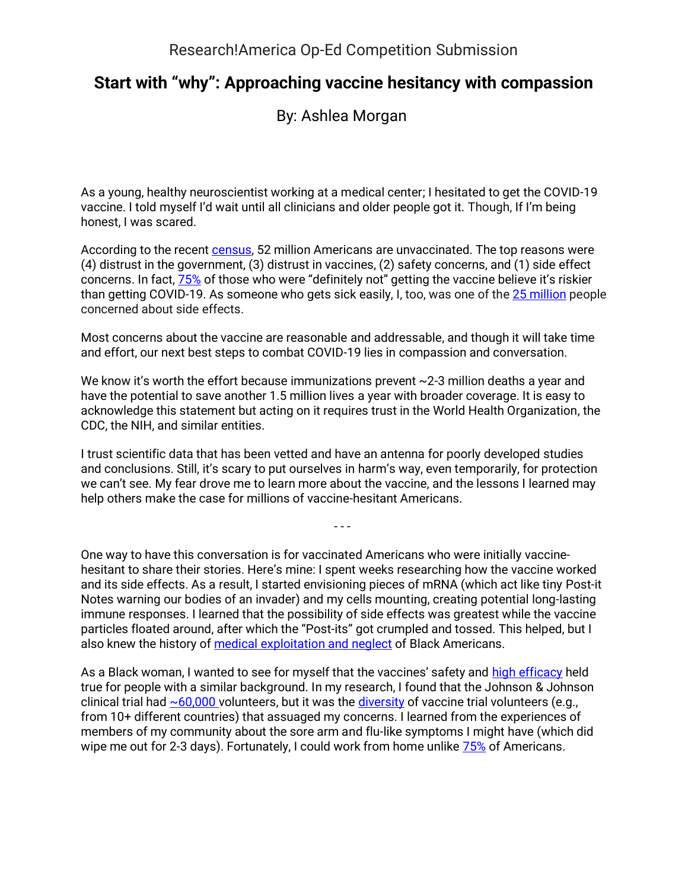## **Start with "why": Approaching vaccine hesitancy with compassion**

By: Ashlea Morgan

As a young, healthy neuroscientist working at a medical center; I hesitated to get the COVID-19 vaccine. I told myself I'd wait until all clinicians and older people got it. Though, If I'm being honest, I was scared.

According to the recent [census,](https://www.census.gov/library/stories/2021/01/around-half-of-unvaccinated-americans-indicate-they-will-definitely-get-covid-19-vaccine.html) 52 million Americans are unvaccinated. The top reasons were (4) distrust in the government, (3) distrust in vaccines, (2) safety concerns, and (1) side effect concerns. In fact, [75%](https://www.kff.org/coronavirus-covid-19/poll-finding/kff-covid-19-vaccine-monitor-july-2021/) of those who were "definitely not" getting the vaccine believe it's riskier than getting COVID-19. As someone who gets sick easily, I, too, was one of the [25 million](https://www.census.gov/content/dam/Census/library/stories/2021/01/around-half-of-unvaccinated-americans-indicate-they-will-definitely-get-covid-19-vaccine-figure-5.jpg) people concerned about side effects.

Most concerns about the vaccine are reasonable and addressable, and though it will take time and effort, our next best steps to combat COVID-19 lies in compassion and conversation.

We know it's worth the effort because immunizations prevent  $\sim$  2-3 million deaths a year and have the potential to save another 1.5 million lives a year with broader coverage. It is easy to acknowledge this statement but acting on it requires trust in the World Health Organization, the CDC, the NIH, and similar entities.

I trust scientific data that has been vetted and have an antenna for poorly developed studies and conclusions. Still, it's scary to put ourselves in harm's way, even temporarily, for protection we can't see. My fear drove me to learn more about the vaccine, and the lessons I learned may help others make the case for millions of vaccine-hesitant Americans.

- - -

One way to have this conversation is for vaccinated Americans who were initially vaccinehesitant to share their stories. Here's mine: I spent weeks researching how the vaccine worked and its side effects. As a result, I started envisioning pieces of mRNA (which act like tiny Post-it Notes warning our bodies of an invader) and my cells mounting, creating potential long-lasting immune responses. I learned that the possibility of side effects was greatest while the vaccine particles floated around, after which the "Post-its" got crumpled and tossed. This helped, but I also knew the history of [medical exploitation and neglect](https://www.penguinrandomhouse.com/books/185986/medical-apartheid-by-harriet-a-washington/) of Black Americans.

As a Black woman, I wanted to see for myself that the vaccines' safety and [high efficacy](https://www.yalemedicine.org/news/covid-19-vaccine-comparison) held true for people with a similar background. In my research, I found that the Johnson & Johnson clinical trial had  $~60,000$  volunteers, but it was the [diversity](https://www.hopkinsmedicine.org/health/conditions-and-diseases/coronavirus/covid19-vaccines-and-people-of-color) of vaccine trial volunteers (e.g., from 10+ different countries) that assuaged my concerns. I learned from the experiences of members of my community about the sore arm and flu-like symptoms I might have (which did wipe me out for 2-3 days). Fortunately, I could work from home unlike [75%](https://ajph.aphapublications.org/doi/10.2105/AJPH.2020.305738) of Americans.